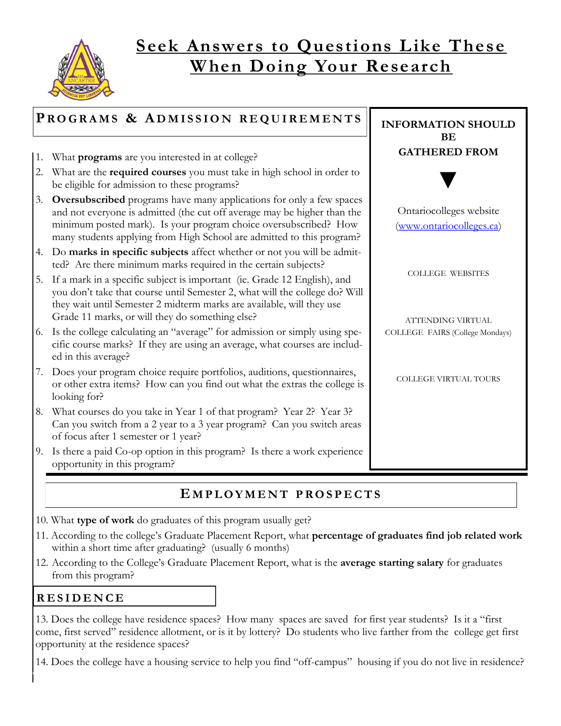

## **Seek Answers to Questions Like These W hen Doing Your Research**

| PROGRAMS & ADMISSION REQUIREMENTS |                                                                                                                                                                                                                                                                                                      | <b>INFORMATION SHOULD</b><br><b>BE</b>              |
|-----------------------------------|------------------------------------------------------------------------------------------------------------------------------------------------------------------------------------------------------------------------------------------------------------------------------------------------------|-----------------------------------------------------|
| 1.                                | What <b>programs</b> are you interested in at college?                                                                                                                                                                                                                                               | <b>GATHERED FROM</b>                                |
| 2.                                | What are the required courses you must take in high school in order to<br>be eligible for admission to these programs?                                                                                                                                                                               |                                                     |
| 3.                                | <b>Oversubscribed</b> programs have many applications for only a few spaces<br>and not everyone is admitted (the cut off average may be higher than the<br>minimum posted mark). Is your program choice oversubscribed? How<br>many students applying from High School are admitted to this program? | Ontariocolleges website<br>(www.ontariocolleges.ca) |
| 4.                                | Do marks in specific subjects affect whether or not you will be admit-<br>ted? Are there minimum marks required in the certain subjects?                                                                                                                                                             |                                                     |
| 5.                                | If a mark in a specific subject is important (ie. Grade 12 English), and<br>you don't take that course until Semester 2, what will the college do? Will<br>they wait until Semester 2 midterm marks are available, will they use<br>Grade 11 marks, or will they do something else?                  | <b>COLLEGE WEBSITES</b><br>ATTENDING VIRTUAL        |
|                                   | 6. Is the college calculating an "average" for admission or simply using spe-<br>cific course marks? If they are using an average, what courses are includ-<br>ed in this average?                                                                                                                   | COLLEGE FAIRS (College Mondays)                     |
| 7.                                | Does your program choice require portfolios, auditions, questionnaires,<br>or other extra items? How can you find out what the extras the college is<br>looking for?                                                                                                                                 | COLLEGE VIRTUAL TOURS                               |
| 8.                                | What courses do you take in Year 1 of that program? Year 2? Year 3?<br>Can you switch from a 2 year to a 3 year program? Can you switch areas<br>of focus after 1 semester or 1 year?                                                                                                                |                                                     |
|                                   | 9. Is there a paid Co-op option in this program? Is there a work experience<br>opportunity in this program?                                                                                                                                                                                          |                                                     |

#### **E M P L O Y M E N T P R O S P E C T S**

- 10. What **type of work** do graduates of this program usually get?
- 11. According to the college's Graduate Placement Report, what **percentage of graduates find job related work** within a short time after graduating? (usually 6 months)
- 12. According to the College's Graduate Placement Report, what is the **average starting salary** for graduates from this program?

#### **R E S I D E N C E**

13. Does the college have residence spaces? How many spaces are saved for first year students? Is it a "first come, first served" residence allotment, or is it by lottery? Do students who live farther from the college get first opportunity at the residence spaces?

14. Does the college have a housing service to help you find "off-campus" housing if you do not live in residence?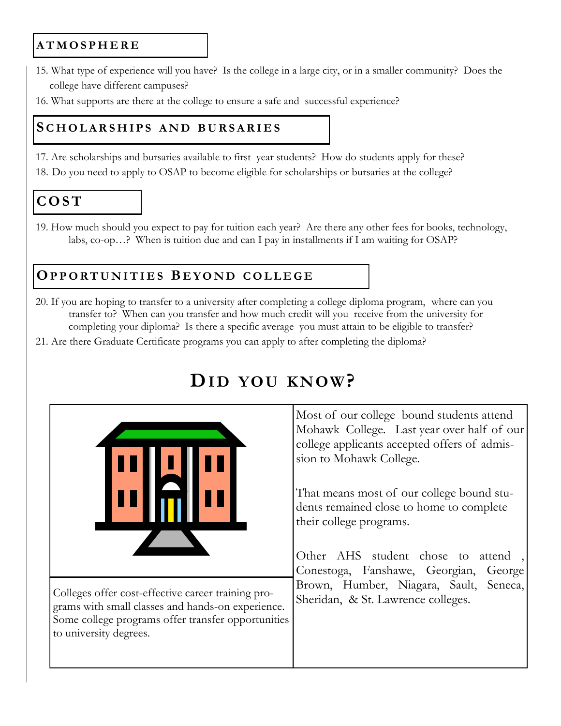#### **A T M O S P H E R E**

- 15. What type of experience will you have? Is the college in a large city, or in a smaller community? Does the college have different campuses?
- 16. What supports are there at the college to ensure a safe and successful experience?

#### **S C H O L A R S H I P S A N D B U R S A R I E S**

- 17. Are scholarships and bursaries available to first year students? How do students apply for these?
- 18. Do you need to apply to OSAP to become eligible for scholarships or bursaries at the college?

## **C O S T**

19. How much should you expect to pay for tuition each year? Are there any other fees for books, technology, labs, co-op…? When is tuition due and can I pay in installments if I am waiting for OSAP?

### **OP P O R T U N I T I E S B E Y O N D C O L L E G E**

- 20. If you are hoping to transfer to a university after completing a college diploma program, where can you transfer to? When can you transfer and how much credit will you receive from the university for completing your diploma? Is there a specific average you must attain to be eligible to transfer?
- 21. Are there Graduate Certificate programs you can apply to after completing the diploma?



# **DI D YOU KN OW?**

Most of our college bound students attend Mohawk College. Last year over half of our college applicants accepted offers of admission to Mohawk College.

That means most of our college bound students remained close to home to complete their college programs.

Other AHS student chose to attend Conestoga, Fanshawe, Georgian, George Brown, Humber, Niagara, Sault, Seneca,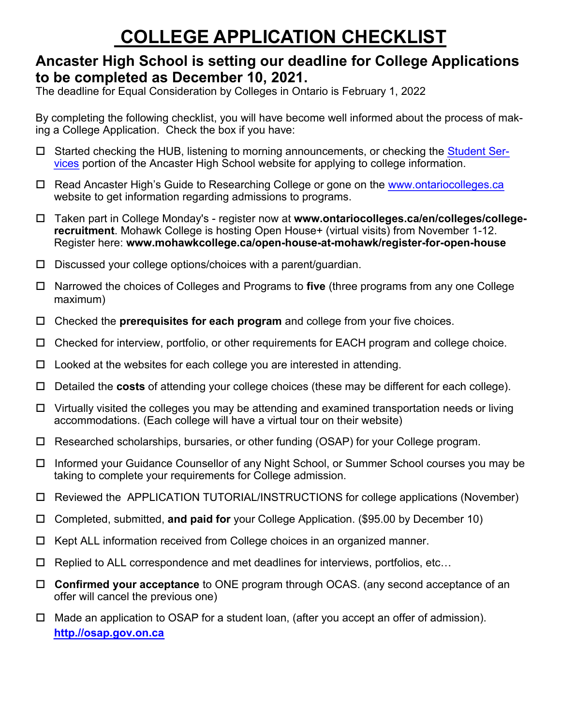# **COLLEGE APPLICATION CHECKLIST**

### **Ancaster High School is setting our deadline for College Applications to be completed as December 10, 2021.**

The deadline for Equal Consideration by Colleges in Ontario is February 1, 2022

By completing the following checklist, you will have become well informed about the process of making a College Application. Check the box if you have:

- □ Started checking the HUB, listening to morning announcements, or checking the [Student Ser](http://schools.hwdsb.on.ca/ancasterhigh/student-services/college-information/)[vices](http://schools.hwdsb.on.ca/ancasterhigh/student-services/college-information/) portion of the Ancaster High School website for applying to college information.
- □ Read Ancaster High's Guide to Researching College or gone on the www.ontariocolleges.ca website to get information regarding admissions to programs.
- Taken part in College Monday's register now at **www.ontariocolle[ges.ca/en/colleges/colle](http://www.ontariocolleges.ca/)gerecruitment**. Mohawk College is hosting Open House+ (virtual visits) from November 1-12. Register here: **www.mohawkcollege.ca/open-house-at-mohawk/register-for-open-house**
- $\square$  Discussed your college options[/choices with a parent/guardian](https://ontariocollegefair.ca/).
- Narrowed the choices of Colleges and Programs to **five** (three programs from any one College maximum)
- Checked the **prerequisites for each program** and college from your five choices.
- Checked for interview, portfolio, or other requirements for EACH program and college choice.
- $\Box$  Looked at the websites for each college you are interested in attending.
- Detailed the **costs** of attending your college choices (these may be different for each college).
- $\Box$  Virtually visited the colleges you may be attending and examined transportation needs or living accommodations. (Each college will have a virtual tour on their website)
- Researched scholarships, bursaries, or other funding (OSAP) for your College program.
- Informed your Guidance Counsellor of any Night School, or Summer School courses you may be taking to complete your requirements for College admission.
- Reviewed the APPLICATION TUTORIAL/INSTRUCTIONS for college applications (November)
- Completed, submitted, **and paid for** your College Application. (\$95.00 by December 10)
- $\Box$  Kept ALL information received from College choices in an organized manner.
- $\Box$  Replied to ALL correspondence and met deadlines for interviews, portfolios, etc...
- **Confirmed your acceptance** to ONE program through OCAS. (any second acceptance of an offer will cancel the previous one)
- □ Made an application to OSAP for a student loan, (after you accept an offer of admission). **[http.//osap.gov.on.ca](http://osap.gov.on.ca)**